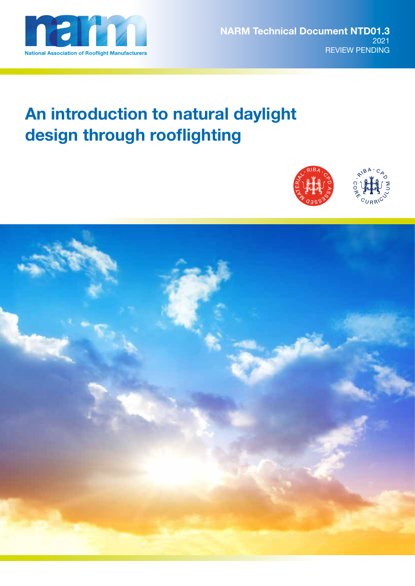

# **An introduction to natural daylight design through rooflighting**



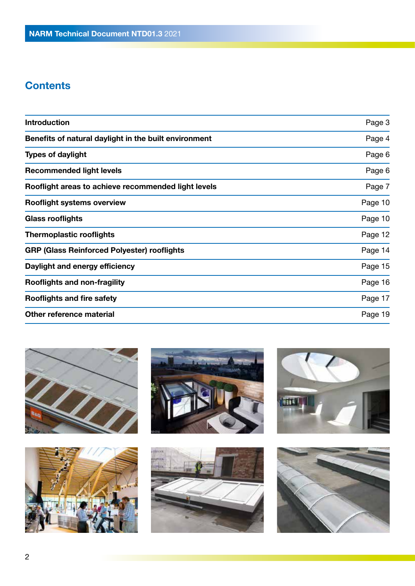# **Contents**

| <b>Introduction</b>                                   | Page 3  |
|-------------------------------------------------------|---------|
| Benefits of natural daylight in the built environment | Page 4  |
| <b>Types of daylight</b>                              | Page 6  |
| <b>Recommended light levels</b>                       | Page 6  |
| Rooflight areas to achieve recommended light levels   | Page 7  |
| <b>Rooflight systems overview</b>                     | Page 10 |
| <b>Glass rooflights</b>                               | Page 10 |
| <b>Thermoplastic rooflights</b>                       | Page 12 |
| <b>GRP (Glass Reinforced Polyester) rooflights</b>    | Page 14 |
| Daylight and energy efficiency                        | Page 15 |
| <b>Rooflights and non-fragility</b>                   | Page 16 |
| <b>Rooflights and fire safety</b>                     | Page 17 |
| Other reference material                              | Page 19 |
|                                                       |         |











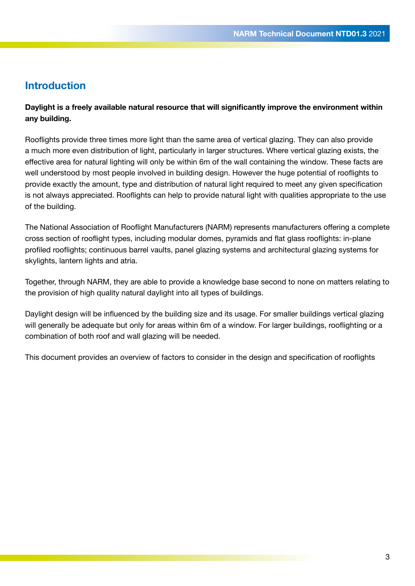### **Introduction**

**Daylight is a freely available natural resource that will significantly improve the environment within any building.** 

Rooflights provide three times more light than the same area of vertical glazing. They can also provide a much more even distribution of light, particularly in larger structures. Where vertical glazing exists, the effective area for natural lighting will only be within 6m of the wall containing the window. These facts are well understood by most people involved in building design. However the huge potential of rooflights to provide exactly the amount, type and distribution of natural light required to meet any given specification is not always appreciated. Rooflights can help to provide natural light with qualities appropriate to the use of the building.

The National Association of Rooflight Manufacturers (NARM) represents manufacturers offering a complete cross section of rooflight types, including modular domes, pyramids and flat glass rooflights: in-plane profiled rooflights; continuous barrel vaults, panel glazing systems and architectural glazing systems for skylights, lantern lights and atria.

Together, through NARM, they are able to provide a knowledge base second to none on matters relating to the provision of high quality natural daylight into all types of buildings.

Daylight design will be influenced by the building size and its usage. For smaller buildings vertical glazing will generally be adequate but only for areas within 6m of a window. For larger buildings, rooflighting or a combination of both roof and wall glazing will be needed.

This document provides an overview of factors to consider in the design and specification of rooflights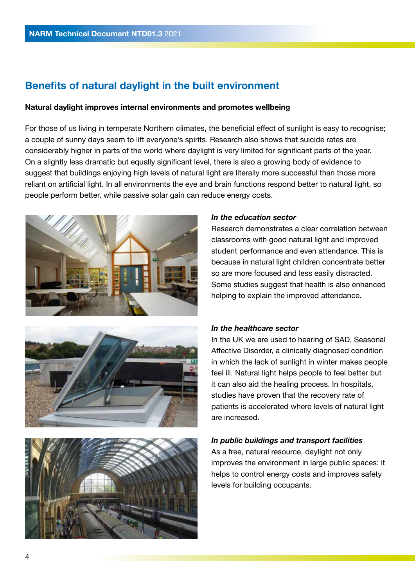# **Benefits of natural daylight in the built environment**

#### **Natural daylight improves internal environments and promotes wellbeing**

For those of us living in temperate Northern climates, the beneficial effect of sunlight is easy to recognise; a couple of sunny days seem to lift everyone's spirits. Research also shows that suicide rates are considerably higher in parts of the world where daylight is very limited for significant parts of the year. On a slightly less dramatic but equally significant level, there is also a growing body of evidence to suggest that buildings enjoying high levels of natural light are literally more successful than those more reliant on artificial light. In all environments the eye and brain functions respond better to natural light, so people perform better, while passive solar gain can reduce energy costs.







#### *In the education sector*

Research demonstrates a clear correlation between classrooms with good natural light and improved student performance and even attendance. This is because in natural light children concentrate better so are more focused and less easily distracted. Some studies suggest that health is also enhanced helping to explain the improved attendance.

#### *In the healthcare sector*

In the UK we are used to hearing of SAD, Seasonal Affective Disorder, a clinically diagnosed condition in which the lack of sunlight in winter makes people feel ill. Natural light helps people to feel better but it can also aid the healing process. In hospitals, studies have proven that the recovery rate of patients is accelerated where levels of natural light are increased.

#### *In public buildings and transport facilities*

As a free, natural resource, daylight not only improves the environment in large public spaces: it helps to control energy costs and improves safety levels for building occupants.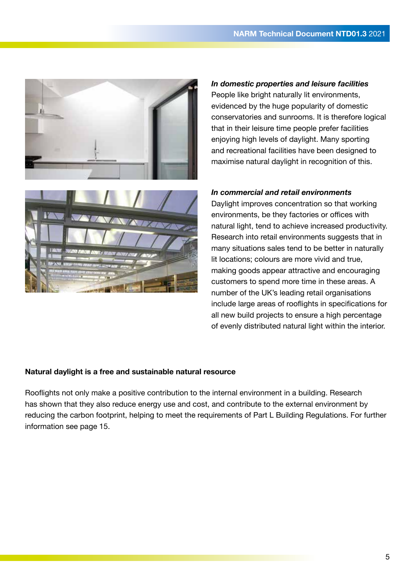

*In domestic properties and leisure facilities* People like bright naturally lit environments, evidenced by the huge popularity of domestic conservatories and sunrooms. It is therefore logical that in their leisure time people prefer facilities enjoying high levels of daylight. Many sporting and recreational facilities have been designed to maximise natural daylight in recognition of this.



#### *In commercial and retail environments*

Daylight improves concentration so that working environments, be they factories or offices with natural light, tend to achieve increased productivity. Research into retail environments suggests that in many situations sales tend to be better in naturally lit locations; colours are more vivid and true, making goods appear attractive and encouraging customers to spend more time in these areas. A number of the UK's leading retail organisations include large areas of rooflights in specifications for all new build projects to ensure a high percentage of evenly distributed natural light within the interior.

### **Natural daylight is a free and sustainable natural resource**

Rooflights not only make a positive contribution to the internal environment in a building. Research has shown that they also reduce energy use and cost, and contribute to the external environment by reducing the carbon footprint, helping to meet the requirements of Part L Building Regulations. For further information see page 15.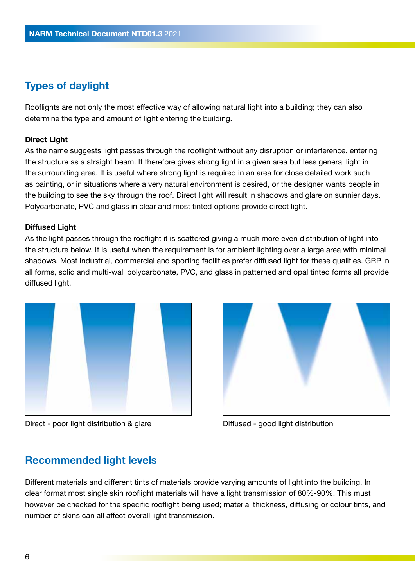# **Types of daylight**

Rooflights are not only the most effective way of allowing natural light into a building; they can also determine the type and amount of light entering the building.

#### **Direct Light**

As the name suggests light passes through the rooflight without any disruption or interference, entering the structure as a straight beam. It therefore gives strong light in a given area but less general light in the surrounding area. It is useful where strong light is required in an area for close detailed work such as painting, or in situations where a very natural environment is desired, or the designer wants people in the building to see the sky through the roof. Direct light will result in shadows and glare on sunnier days. Polycarbonate, PVC and glass in clear and most tinted options provide direct light.

#### **Diffused Light**

As the light passes through the rooflight it is scattered giving a much more even distribution of light into the structure below. It is useful when the requirement is for ambient lighting over a large area with minimal shadows. Most industrial, commercial and sporting facilities prefer diffused light for these qualities. GRP in all forms, solid and multi-wall polycarbonate, PVC, and glass in patterned and opal tinted forms all provide diffused light.



Direct - poor light distribution & glare Diffused - good light distribution



### **Recommended light levels**

Different materials and different tints of materials provide varying amounts of light into the building. In clear format most single skin rooflight materials will have a light transmission of 80%-90%. This must however be checked for the specific rooflight being used; material thickness, diffusing or colour tints, and number of skins can all affect overall light transmission.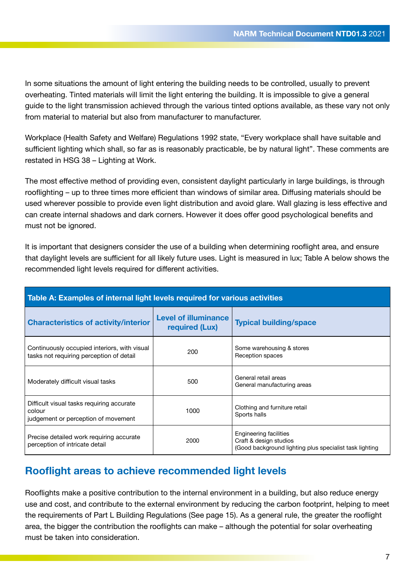In some situations the amount of light entering the building needs to be controlled, usually to prevent overheating. Tinted materials will limit the light entering the building. It is impossible to give a general guide to the light transmission achieved through the various tinted options available, as these vary not only from material to material but also from manufacturer to manufacturer.

Workplace (Health Safety and Welfare) Regulations 1992 state, "Every workplace shall have suitable and sufficient lighting which shall, so far as is reasonably practicable, be by natural light". These comments are restated in HSG 38 – Lighting at Work.

The most effective method of providing even, consistent daylight particularly in large buildings, is through rooflighting – up to three times more efficient than windows of similar area. Diffusing materials should be used wherever possible to provide even light distribution and avoid glare. Wall glazing is less effective and can create internal shadows and dark corners. However it does offer good psychological benefits and must not be ignored.

It is important that designers consider the use of a building when determining rooflight area, and ensure that daylight levels are sufficient for all likely future uses. Light is measured in lux; Table A below shows the recommended light levels required for different activities.

| Table A: Examples of internal light levels required for various activities                 |                                               |                                                                                                             |  |
|--------------------------------------------------------------------------------------------|-----------------------------------------------|-------------------------------------------------------------------------------------------------------------|--|
| <b>Characteristics of activity/interior</b>                                                | <b>Level of illuminance</b><br>required (Lux) | <b>Typical building/space</b>                                                                               |  |
| Continuously occupied interiors, with visual<br>tasks not requiring perception of detail   | 200                                           | Some warehousing & stores<br>Reception spaces                                                               |  |
| Moderately difficult visual tasks                                                          | 500                                           | General retail areas<br>General manufacturing areas                                                         |  |
| Difficult visual tasks requiring accurate<br>colour<br>judgement or perception of movement | 1000                                          | Clothing and furniture retail<br>Sports halls                                                               |  |
| Precise detailed work requiring accurate<br>perception of intricate detail                 | 2000                                          | Engineering facilities<br>Craft & design studios<br>(Good background lighting plus specialist task lighting |  |

# **Rooflight areas to achieve recommended light levels**

Rooflights make a positive contribution to the internal environment in a building, but also reduce energy use and cost, and contribute to the external environment by reducing the carbon footprint, helping to meet the requirements of Part L Building Regulations (See page 15). As a general rule, the greater the rooflight area, the bigger the contribution the rooflights can make – although the potential for solar overheating must be taken into consideration.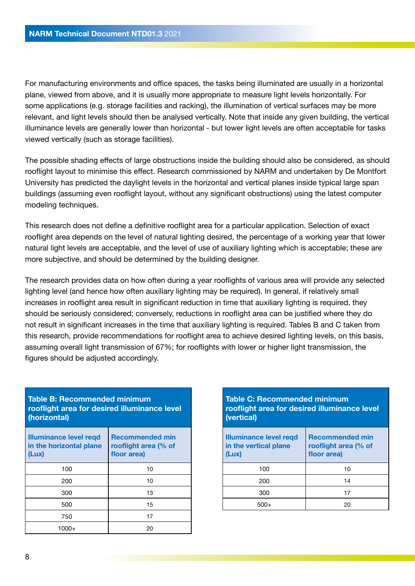For manufacturing environments and office spaces, the tasks being illuminated are usually in a horizontal plane, viewed from above, and it is usually more appropriate to measure light levels horizontally. For some applications (e.g. storage facilities and racking), the illumination of vertical surfaces may be more relevant, and light levels should then be analysed vertically. Note that inside any given building, the vertical illuminance levels are generally lower than horizontal - but lower light levels are often acceptable for tasks viewed vertically (such as storage facilities).

The possible shading effects of large obstructions inside the building should also be considered, as should rooflight layout to minimise this effect. Research commissioned by NARM and undertaken by De Montfort University has predicted the daylight levels in the horizontal and vertical planes inside typical large span buildings (assuming even rooflight layout, without any significant obstructions) using the latest computer modeling techniques.

This research does not define a definitive rooflight area for a particular application. Selection of exact rooflight area depends on the level of natural lighting desired, the percentage of a working year that lower natural light levels are acceptable, and the level of use of auxiliary lighting which is acceptable; these are more subjective, and should be determined by the building designer.

The research provides data on how often during a year rooflights of various area will provide any selected lighting level (and hence how often auxiliary lighting may be required). In general, if relatively small increases in rooflight area result in significant reduction in time that auxiliary lighting is required, they should be seriously considered; conversely, reductions in rooflight area can be justified where they do not result in significant increases in the time that auxiliary lighting is required. Tables B and C taken from this research, provide recommendations for rooflight area to achieve desired lighting levels, on this basis, assuming overall light transmission of 67%; for rooflights with lower or higher light transmission, the figures should be adjusted accordingly.

| Table B: Recommended minimum<br>rooflight area for desired illuminance level<br>(horizontal) |                                                               |  |
|----------------------------------------------------------------------------------------------|---------------------------------------------------------------|--|
| <b>Illuminance level regd</b><br>in the horizontal plane<br>(Lux)                            | <b>Recommended min</b><br>rooflight area (% of<br>floor area) |  |
| 100                                                                                          | 10                                                            |  |
| 200                                                                                          | 10                                                            |  |
| 300                                                                                          | 13                                                            |  |
| 500                                                                                          | 15                                                            |  |
| 750                                                                                          | 17                                                            |  |
| 1000+                                                                                        | 20                                                            |  |

| <b>Table C: Recommended minimum</b><br>rooflight area for desired illuminance level<br>(vertical) |  |  |
|---------------------------------------------------------------------------------------------------|--|--|
| <b>Recommended min</b><br>rooflight area (% of<br>floor area)                                     |  |  |
| 10                                                                                                |  |  |
| 14                                                                                                |  |  |
| 17                                                                                                |  |  |
| 20                                                                                                |  |  |
|                                                                                                   |  |  |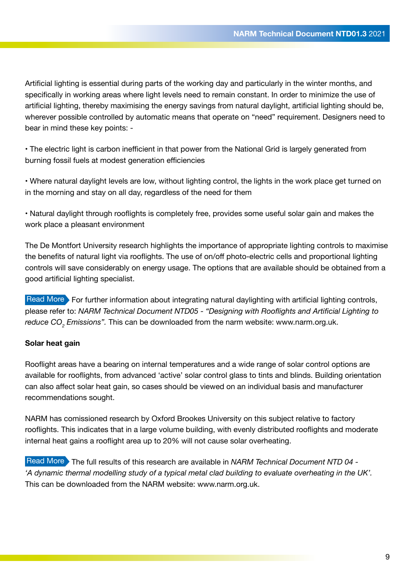Artificial lighting is essential during parts of the working day and particularly in the winter months, and specifically in working areas where light levels need to remain constant. In order to minimize the use of artificial lighting, thereby maximising the energy savings from natural daylight, artificial lighting should be, wherever possible controlled by automatic means that operate on "need" requirement. Designers need to bear in mind these key points: -

• The electric light is carbon inefficient in that power from the National Grid is largely generated from burning fossil fuels at modest generation efficiencies

• Where natural daylight levels are low, without lighting control, the lights in the work place get turned on in the morning and stay on all day, regardless of the need for them

• Natural daylight through rooflights is completely free, provides some useful solar gain and makes the work place a pleasant environment

The De Montfort University research highlights the importance of appropriate lighting controls to maximise the benefits of natural light via rooflights. The use of on/off photo-electric cells and proportional lighting controls will save considerably on energy usage. The options that are available should be obtained from a good artificial lighting specialist.

Read More For further information about integrating natural daylighting with artificial lighting controls, please refer to: *NARM Technical Document NTD05 - "Designing with Rooflights and Artificial Lighting to reduce CO<sup>2</sup> Emissions".* This can be downloaded from the narm website: www.narm.org.uk.

### **Solar heat gain**

Rooflight areas have a bearing on internal temperatures and a wide range of solar control options are available for rooflights, from advanced 'active' solar control glass to tints and blinds. Building orientation can also affect solar heat gain, so cases should be viewed on an individual basis and manufacturer recommendations sought.

NARM has comissioned research by Oxford Brookes University on this subject relative to factory rooflights. This indicates that in a large volume building, with evenly distributed rooflights and moderate internal heat gains a rooflight area up to 20% will not cause solar overheating.

Read More The full results of this research are available in *NARM Technical Document NTD 04 -'A dynamic thermal modelling study of a typical metal clad building to evaluate overheating in the UK'.* This can be downloaded from the NARM website: www.narm.org.uk.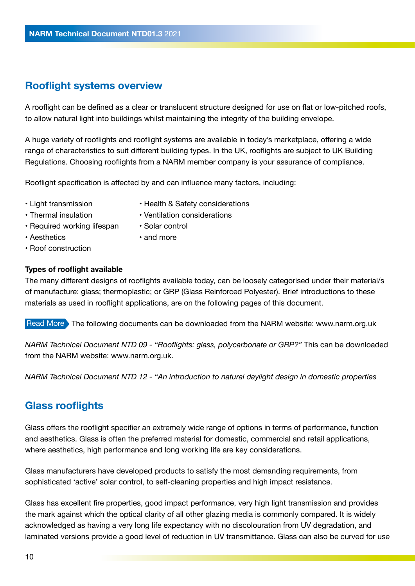# **Rooflight systems overview**

A rooflight can be defined as a clear or translucent structure designed for use on flat or low-pitched roofs, to allow natural light into buildings whilst maintaining the integrity of the building envelope.

A huge variety of rooflights and rooflight systems are available in today's marketplace, offering a wide range of characteristics to suit different building types. In the UK, rooflights are subject to UK Building Regulations. Choosing rooflights from a NARM member company is your assurance of compliance.

Rooflight specification is affected by and can influence many factors, including:

- Light transmission
- Health & Safety considerations
- Thermal insulation
- Ventilation considerations
- Required working lifespan
- Aesthetics

• and more

• Solar control

• Roof construction

### **Types of rooflight available**

The many different designs of rooflights available today, can be loosely categorised under their material/s of manufacture: glass; thermoplastic; or GRP (Glass Reinforced Polyester). Brief introductions to these materials as used in rooflight applications, are on the following pages of this document.

Read More The following documents can be downloaded from the NARM website: www.narm.org.uk

*NARM Technical Document NTD 09 - "Rooflights: glass, polycarbonate or GRP?"* This can be downloaded from the NARM website: www.narm.org.uk.

*NARM Technical Document NTD 12 - "An introduction to natural daylight design in domestic properties*

# **Glass rooflights**

Glass offers the rooflight specifier an extremely wide range of options in terms of performance, function and aesthetics. Glass is often the preferred material for domestic, commercial and retail applications, where aesthetics, high performance and long working life are key considerations.

Glass manufacturers have developed products to satisfy the most demanding requirements, from sophisticated 'active' solar control, to self-cleaning properties and high impact resistance.

Glass has excellent fire properties, good impact performance, very high light transmission and provides the mark against which the optical clarity of all other glazing media is commonly compared. It is widely acknowledged as having a very long life expectancy with no discolouration from UV degradation, and laminated versions provide a good level of reduction in UV transmittance. Glass can also be curved for use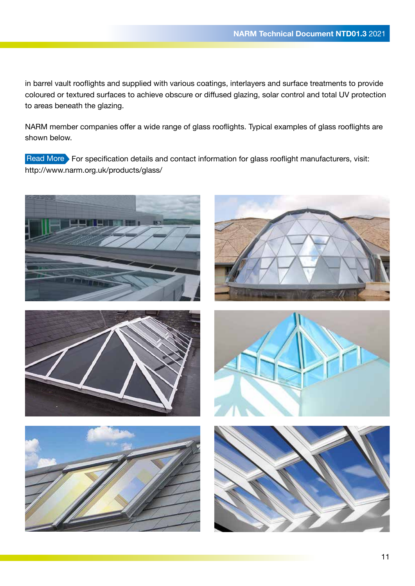in barrel vault rooflights and supplied with various coatings, interlayers and surface treatments to provide coloured or textured surfaces to achieve obscure or diffused glazing, solar control and total UV protection to areas beneath the glazing.

NARM member companies offer a wide range of glass rooflights. Typical examples of glass rooflights are shown below.

Read More For specification details and contact information for glass rooflight manufacturers, visit: http://www.narm.org.uk/products/glass/











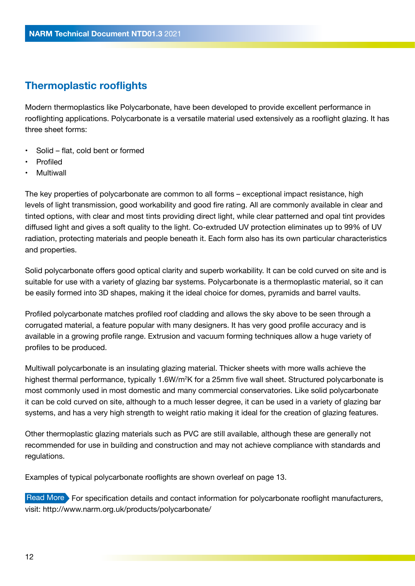### **Thermoplastic rooflights**

Modern thermoplastics like Polycarbonate, have been developed to provide excellent performance in rooflighting applications. Polycarbonate is a versatile material used extensively as a rooflight glazing. It has three sheet forms:

- Solid flat, cold bent or formed
- Profiled
- **Multiwall**

The key properties of polycarbonate are common to all forms – exceptional impact resistance, high levels of light transmission, good workability and good fire rating. All are commonly available in clear and tinted options, with clear and most tints providing direct light, while clear patterned and opal tint provides diffused light and gives a soft quality to the light. Co-extruded UV protection eliminates up to 99% of UV radiation, protecting materials and people beneath it. Each form also has its own particular characteristics and properties.

Solid polycarbonate offers good optical clarity and superb workability. It can be cold curved on site and is suitable for use with a variety of glazing bar systems. Polycarbonate is a thermoplastic material, so it can be easily formed into 3D shapes, making it the ideal choice for domes, pyramids and barrel vaults.

Profiled polycarbonate matches profiled roof cladding and allows the sky above to be seen through a corrugated material, a feature popular with many designers. It has very good profile accuracy and is available in a growing profile range. Extrusion and vacuum forming techniques allow a huge variety of profiles to be produced.

Multiwall polycarbonate is an insulating glazing material. Thicker sheets with more walls achieve the highest thermal performance, typically 1.6W/m<sup>2</sup>K for a 25mm five wall sheet. Structured polycarbonate is most commonly used in most domestic and many commercial conservatories. Like solid polycarbonate it can be cold curved on site, although to a much lesser degree, it can be used in a variety of glazing bar systems, and has a very high strength to weight ratio making it ideal for the creation of glazing features.

Other thermoplastic glazing materials such as PVC are still available, although these are generally not recommended for use in building and construction and may not achieve compliance with standards and regulations.

Examples of typical polycarbonate rooflights are shown overleaf on page 13.

Read More For specification details and contact information for polycarbonate rooflight manufacturers, visit: http://www.narm.org.uk/products/polycarbonate/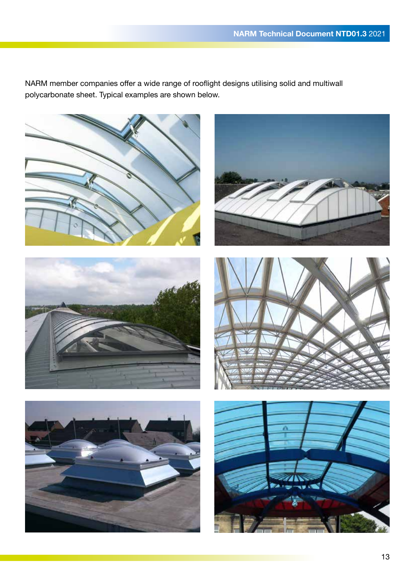NARM member companies offer a wide range of rooflight designs utilising solid and multiwall polycarbonate sheet. Typical examples are shown below.











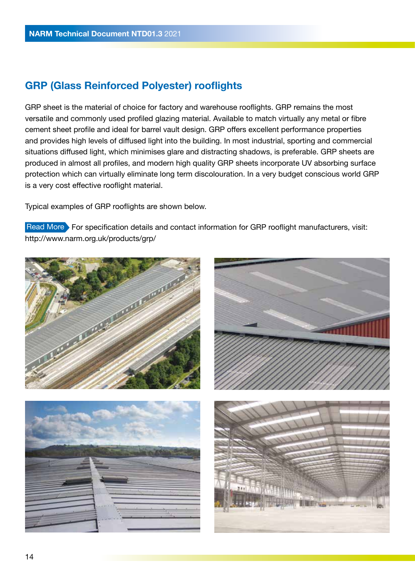# **GRP (Glass Reinforced Polyester) rooflights**

GRP sheet is the material of choice for factory and warehouse rooflights. GRP remains the most versatile and commonly used profiled glazing material. Available to match virtually any metal or fibre cement sheet profile and ideal for barrel vault design. GRP offers excellent performance properties and provides high levels of diffused light into the building. In most industrial, sporting and commercial situations diffused light, which minimises glare and distracting shadows, is preferable. GRP sheets are produced in almost all profiles, and modern high quality GRP sheets incorporate UV absorbing surface protection which can virtually eliminate long term discolouration. In a very budget conscious world GRP is a very cost effective rooflight material.

Typical examples of GRP rooflights are shown below.

Read More For specification details and contact information for GRP rooflight manufacturers, visit: http://www.narm.org.uk/products/grp/

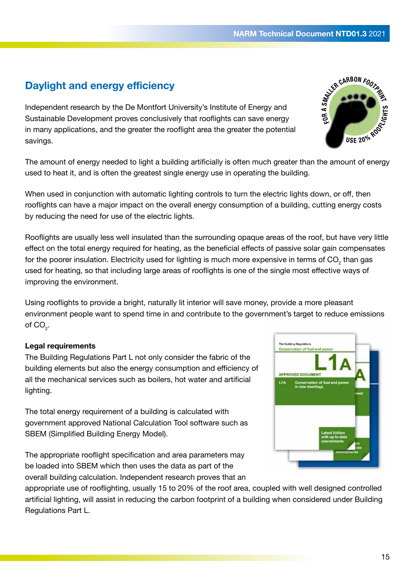# **Daylight and energy efficiency**

Independent research by the De Montfort University's Institute of Energy and Sustainable Development proves conclusively that rooflights can save energy in many applications, and the greater the rooflight area the greater the potential savings.

The amount of energy needed to light a building artificially is often much greater than the amount of energy used to heat it, and is often the greatest single energy use in operating the building.

When used in conjunction with automatic lighting controls to turn the electric lights down, or off, then rooflights can have a major impact on the overall energy consumption of a building, cutting energy costs by reducing the need for use of the electric lights.

Rooflights are usually less well insulated than the surrounding opaque areas of the roof, but have very little effect on the total energy required for heating, as the beneficial effects of passive solar gain compensates for the poorer insulation. Electricity used for lighting is much more expensive in terms of CO<sub>2</sub> than gas used for heating, so that including large areas of rooflights is one of the single most effective ways of improving the environment.

Using rooflights to provide a bright, naturally lit interior will save money, provide a more pleasant environment people want to spend time in and contribute to the government's target to reduce emissions of  $\mathsf{CO}_2^{\vphantom{\dagger}}$ .

### **Legal requirements**

The Building Regulations Part L not only consider the fabric of the building elements but also the energy consumption and efficiency of all the mechanical services such as boilers, hot water and artificial lighting.

The total energy requirement of a building is calculated with government approved National Calculation Tool software such as SBEM (Simplified Building Energy Model).

The appropriate rooflight specification and area parameters may be loaded into SBEM which then uses the data as part of the overall building calculation. Independent research proves that an

appropriate use of rooflighting, usually 15 to 20% of the roof area, coupled with well designed controlled artificial lighting, will assist in reducing the carbon footprint of a building when considered under Building Regulations Part L.



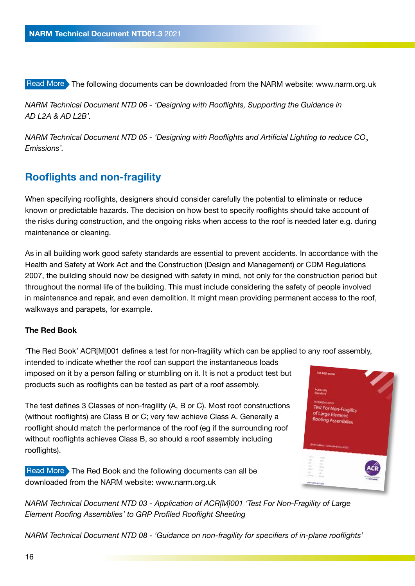Read More The following documents can be downloaded from the NARM website: www.narm.org.uk

*NARM Technical Document NTD 06 - 'Designing with Rooflights, Supporting the Guidance in AD L2A & AD L2B'.* 

*NARM Technical Document NTD 05 - 'Designing with Rooflights and Artificial Lighting to reduce CO<sup>2</sup> Emissions'.* 

### **Rooflights and non-fragility**

When specifying rooflights, designers should consider carefully the potential to eliminate or reduce known or predictable hazards. The decision on how best to specify rooflights should take account of the risks during construction, and the ongoing risks when access to the roof is needed later e.g. during maintenance or cleaning.

As in all building work good safety standards are essential to prevent accidents. In accordance with the Health and Safety at Work Act and the Construction (Design and Management) or CDM Regulations 2007, the building should now be designed with safety in mind, not only for the construction period but throughout the normal life of the building. This must include considering the safety of people involved in maintenance and repair, and even demolition. It might mean providing permanent access to the roof, walkways and parapets, for example.

### **The Red Book**

'The Red Book' ACR[M]001 defines a test for non-fragility which can be applied to any roof assembly,

intended to indicate whether the roof can support the instantaneous loads imposed on it by a person falling or stumbling on it. It is not a product test but products such as rooflights can be tested as part of a roof assembly.

The test defines 3 Classes of non-fragility (A, B or C). Most roof constructions (without rooflights) are Class B or C; very few achieve Class A. Generally a rooflight should match the performance of the roof (eg if the surrounding roof without rooflights achieves Class B, so should a roof assembly including rooflights).

Read More The Red Book and the following documents can all be downloaded from the NARM website: www.narm.org.uk



*NARM Technical Document NTD 03 - Application of ACR[M]001 'Test For Non-Fragility of Large Element Roofing Assemblies' to GRP Profiled Rooflight Sheeting*

*NARM Technical Document NTD 08 - 'Guidance on non-fragility for specifiers of in-plane rooflights'*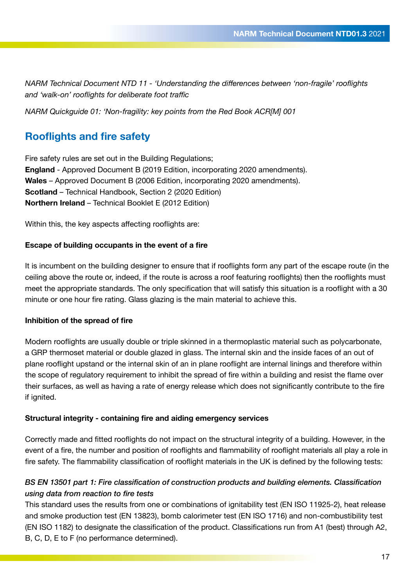*NARM Technical Document NTD 11 - 'Understanding the differences between 'non-fragile' rooflights and 'walk-on' rooflights for deliberate foot traffic*

*NARM Quickguide 01: 'Non-fragility: key points from the Red Book ACR[M] 001*

## **Rooflights and fire safety**

Fire safety rules are set out in the Building Regulations; **England** - Approved Document B (2019 Edition, incorporating 2020 amendments). **Wales** – Approved Document B (2006 Edition, incorporating 2020 amendments). **Scotland** – Technical Handbook, Section 2 (2020 Edition) **Northern Ireland** – Technical Booklet E (2012 Edition)

Within this, the key aspects affecting rooflights are:

#### **Escape of building occupants in the event of a fire**

It is incumbent on the building designer to ensure that if rooflights form any part of the escape route (in the ceiling above the route or, indeed, if the route is across a roof featuring rooflights) then the rooflights must meet the appropriate standards. The only specification that will satisfy this situation is a rooflight with a 30 minute or one hour fire rating. Glass glazing is the main material to achieve this.

#### **Inhibition of the spread of fire**

Modern rooflights are usually double or triple skinned in a thermoplastic material such as polycarbonate, a GRP thermoset material or double glazed in glass. The internal skin and the inside faces of an out of plane rooflight upstand or the internal skin of an in plane rooflight are internal linings and therefore within the scope of regulatory requirement to inhibit the spread of fire within a building and resist the flame over their surfaces, as well as having a rate of energy release which does not significantly contribute to the fire if ignited.

### **Structural integrity - containing fire and aiding emergency services**

Correctly made and fitted rooflights do not impact on the structural integrity of a building. However, in the event of a fire, the number and position of rooflights and flammability of rooflight materials all play a role in fire safety. The flammability classification of rooflight materials in the UK is defined by the following tests:

### *BS EN 13501 part 1: Fire classification of construction products and building elements. Classification using data from reaction to fire tests*

This standard uses the results from one or combinations of ignitability test (EN ISO 11925-2), heat release and smoke production test (EN 13823), bomb calorimeter test (EN ISO 1716) and non-combustibility test (EN ISO 1182) to designate the classification of the product. Classifications run from A1 (best) through A2, B, C, D, E to F (no performance determined).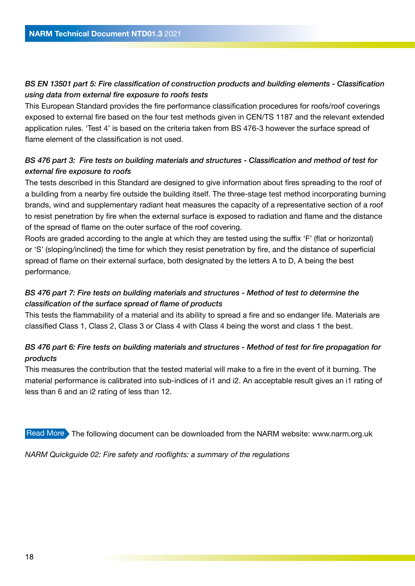### *BS EN 13501 part 5: Fire classification of construction products and building elements - Classification using data from external fire exposure to roofs tests*

This European Standard provides the fire performance classification procedures for roofs/roof coverings exposed to external fire based on the four test methods given in CEN/TS 1187 and the relevant extended application rules. 'Test 4' is based on the criteria taken from BS 476-3 however the surface spread of flame element of the classification is not used.

### *BS 476 part 3: Fire tests on building materials and structures - Classification and method of test for external fire exposure to roofs*

The tests described in this Standard are designed to give information about fires spreading to the roof of a building from a nearby fire outside the building itself. The three-stage test method incorporating burning brands, wind and supplementary radiant heat measures the capacity of a representative section of a roof to resist penetration by fire when the external surface is exposed to radiation and flame and the distance of the spread of flame on the outer surface of the roof covering.

Roofs are graded according to the angle at which they are tested using the suffix 'F' (flat or horizontal) or 'S' (sloping/inclined) the time for which they resist penetration by fire, and the distance of superficial spread of flame on their external surface, both designated by the letters A to D, A being the best performance.

### *BS 476 part 7: Fire tests on building materials and structures - Method of test to determine the classification of the surface spread of flame of products*

This tests the flammability of a material and its ability to spread a fire and so endanger life. Materials are classified Class 1, Class 2, Class 3 or Class 4 with Class 4 being the worst and class 1 the best.

### *BS 476 part 6: Fire tests on building materials and structures - Method of test for fire propagation for products*

This measures the contribution that the tested material will make to a fire in the event of it burning. The material performance is calibrated into sub-indices of i1 and i2. An acceptable result gives an i1 rating of less than 6 and an i2 rating of less than 12.

Read More The following document can be downloaded from the NARM website: www.narm.org.uk

*NARM Quickguide 02: Fire safety and rooflights: a summary of the regulations*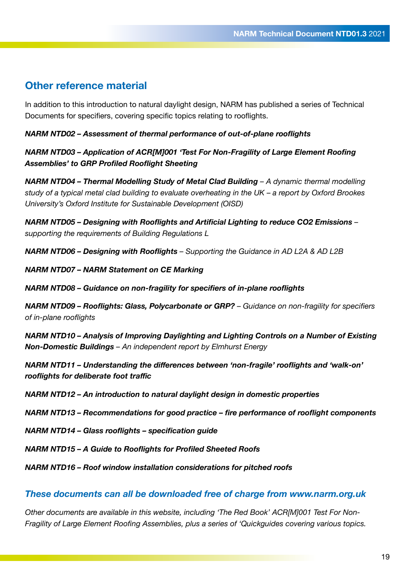### **Other reference material**

In addition to this introduction to natural daylight design, NARM has published a series of Technical Documents for specifiers, covering specific topics relating to rooflights.

#### *NARM NTD02 – Assessment of thermal performance of out-of-plane rooflights*

*NARM NTD03 – Application of ACR[M]001 'Test For Non-Fragility of Large Element Roofing Assemblies' to GRP Profiled Rooflight Sheeting*

*NARM NTD04 – Thermal Modelling Study of Metal Clad Building – A dynamic thermal modelling study of a typical metal clad building to evaluate overheating in the UK – a report by Oxford Brookes University's Oxford Institute for Sustainable Development (OISD)*

*NARM NTD05 – Designing with Rooflights and Artificial Lighting to reduce CO2 Emissions – supporting the requirements of Building Regulations L*

*NARM NTD06 – Designing with Rooflights – Supporting the Guidance in AD L2A & AD L2B* 

*NARM NTD07 – NARM Statement on CE Marking*

*NARM NTD08 – Guidance on non-fragility for specifiers of in-plane rooflights*

*NARM NTD09 – Rooflights: Glass, Polycarbonate or GRP? – Guidance on non-fragility for specifiers of in-plane rooflights*

*NARM NTD10 – Analysis of Improving Daylighting and Lighting Controls on a Number of Existing Non-Domestic Buildings – An independent report by Elmhurst Energy*

*NARM NTD11 – Understanding the differences between 'non-fragile' rooflights and 'walk-on' rooflights for deliberate foot traffic*

*NARM NTD12 – An introduction to natural daylight design in domestic properties*

*NARM NTD13 – Recommendations for good practice – fire performance of rooflight components*

*NARM NTD14 – Glass rooflights – specification guide*

*NARM NTD15 – A Guide to Rooflights for Profiled Sheeted Roofs*

*NARM NTD16 – Roof window installation considerations for pitched roofs*

#### *These documents can all be downloaded free of charge from www.narm.org.uk*

*Other documents are available in this website, including 'The Red Book' ACR[M]001 Test For Non-Fragility of Large Element Roofing Assemblies, plus a series of 'Quickguides covering various topics.*